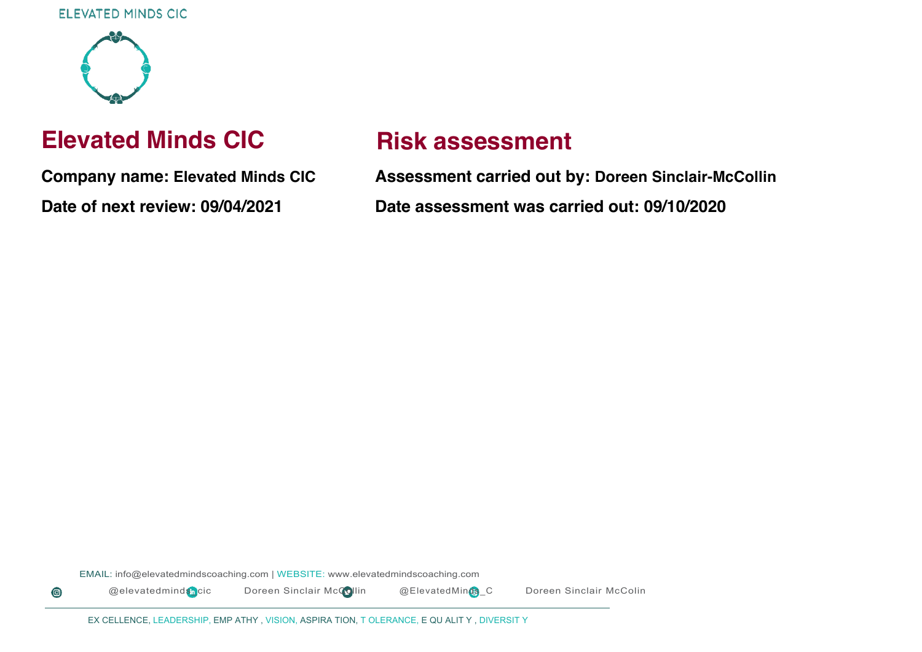

 $\bullet$ 

# **Elevated Minds CIC**

**Company name: Elevated Minds CIC Date of next review: 09/04/2021**

# **Risk assessment**

**Assessment carried out by: Doreen Sinclair-McCollin Date assessment was carried out: 09/10/2020**

EMAIL: info@elevatedmindscoaching.com | WEBSITE: www.elevatedmindscoaching.com

@elevatedminds\_cic Doreen Sinclair McCollin @ElevatedMinds\_C Doreen Sinclair McColin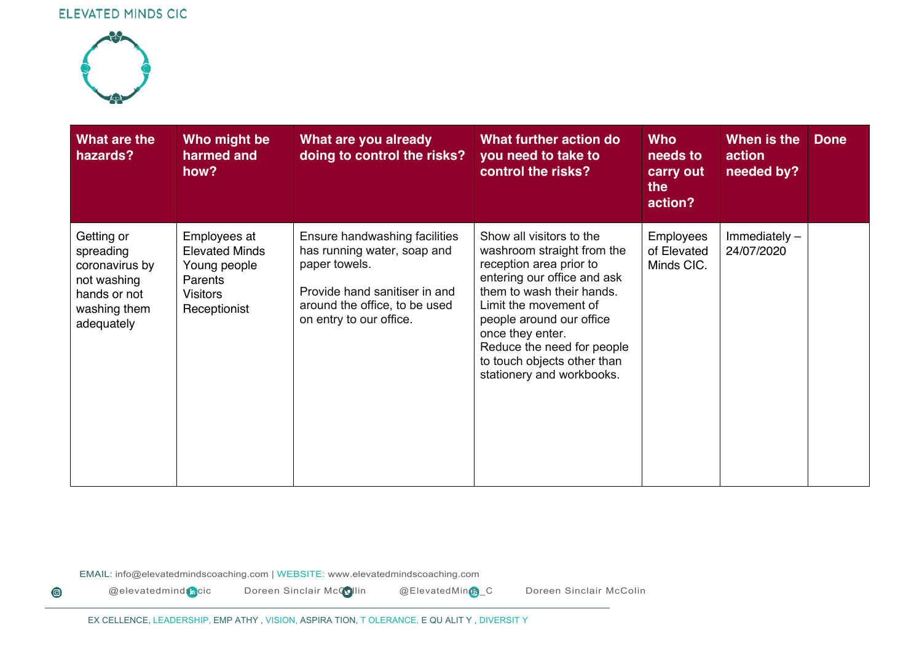

 $\bigcirc$ 

| What are the<br>hazards?                                                                               | Who might be<br>harmed and<br>how?                                                                  | What are you already<br>doing to control the risks?                                                                                                                        | What further action do<br>you need to take to<br>control the risks?                                                                                                                                                                                                                                              | <b>Who</b><br>needs to<br>carry out<br>the<br>action? | When is the<br>action<br>needed by? | <b>Done</b> |
|--------------------------------------------------------------------------------------------------------|-----------------------------------------------------------------------------------------------------|----------------------------------------------------------------------------------------------------------------------------------------------------------------------------|------------------------------------------------------------------------------------------------------------------------------------------------------------------------------------------------------------------------------------------------------------------------------------------------------------------|-------------------------------------------------------|-------------------------------------|-------------|
| Getting or<br>spreading<br>coronavirus by<br>not washing<br>hands or not<br>washing them<br>adequately | Employees at<br><b>Elevated Minds</b><br>Young people<br>Parents<br><b>Visitors</b><br>Receptionist | Ensure handwashing facilities<br>has running water, soap and<br>paper towels.<br>Provide hand sanitiser in and<br>around the office, to be used<br>on entry to our office. | Show all visitors to the<br>washroom straight from the<br>reception area prior to<br>entering our office and ask<br>them to wash their hands.<br>Limit the movement of<br>people around our office<br>once they enter.<br>Reduce the need for people<br>to touch objects other than<br>stationery and workbooks. | <b>Employees</b><br>of Elevated<br>Minds CIC.         | Immediately $-$<br>24/07/2020       |             |

EMAIL: info@elevatedmindscoaching.com | WEBSITE: www.elevatedmindscoaching.com

@elevatedminds<sub>D</sub>cic Doreen Sinclair McCollin @ElevatedMinds\_C Doreen Sinclair McColin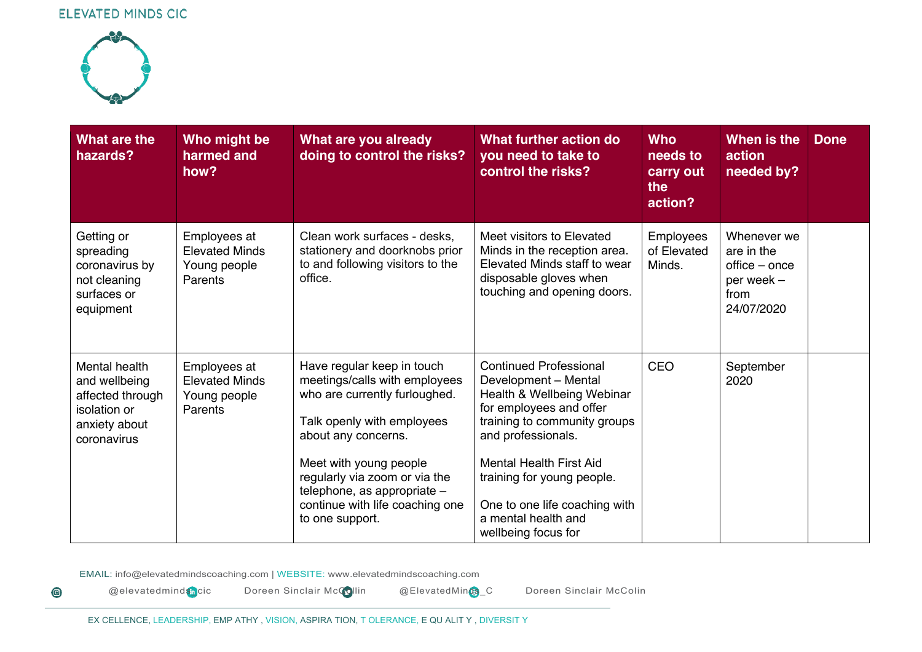

 $\bigcirc$ 

| What are the<br>hazards?                                                                           | Who might be<br>harmed and<br>how?                               | What are you already<br>doing to control the risks?                                                                                                                                                                                                                                               | What further action do<br>you need to take to<br>control the risks?                                                                                                                                                                                                                                                 | <b>Who</b><br>needs to<br>carry out<br>the<br>action? | When is the<br>action<br>needed by?                                            | <b>Done</b> |
|----------------------------------------------------------------------------------------------------|------------------------------------------------------------------|---------------------------------------------------------------------------------------------------------------------------------------------------------------------------------------------------------------------------------------------------------------------------------------------------|---------------------------------------------------------------------------------------------------------------------------------------------------------------------------------------------------------------------------------------------------------------------------------------------------------------------|-------------------------------------------------------|--------------------------------------------------------------------------------|-------------|
| Getting or<br>spreading<br>coronavirus by<br>not cleaning<br>surfaces or<br>equipment              | Employees at<br><b>Elevated Minds</b><br>Young people<br>Parents | Clean work surfaces - desks,<br>stationery and doorknobs prior<br>to and following visitors to the<br>office.                                                                                                                                                                                     | Meet visitors to Elevated<br>Minds in the reception area.<br>Elevated Minds staff to wear<br>disposable gloves when<br>touching and opening doors.                                                                                                                                                                  | <b>Employees</b><br>of Elevated<br>Minds.             | Whenever we<br>are in the<br>office – once<br>per week -<br>from<br>24/07/2020 |             |
| Mental health<br>and wellbeing<br>affected through<br>isolation or<br>anxiety about<br>coronavirus | Employees at<br><b>Elevated Minds</b><br>Young people<br>Parents | Have regular keep in touch<br>meetings/calls with employees<br>who are currently furloughed.<br>Talk openly with employees<br>about any concerns.<br>Meet with young people<br>regularly via zoom or via the<br>telephone, as appropriate -<br>continue with life coaching one<br>to one support. | <b>Continued Professional</b><br>Development - Mental<br>Health & Wellbeing Webinar<br>for employees and offer<br>training to community groups<br>and professionals.<br><b>Mental Health First Aid</b><br>training for young people.<br>One to one life coaching with<br>a mental health and<br>wellbeing focus for | <b>CEO</b>                                            | September<br>2020                                                              |             |

EMAIL: info@elevatedmindscoaching.com | WEBSITE: www.elevatedmindscoaching.com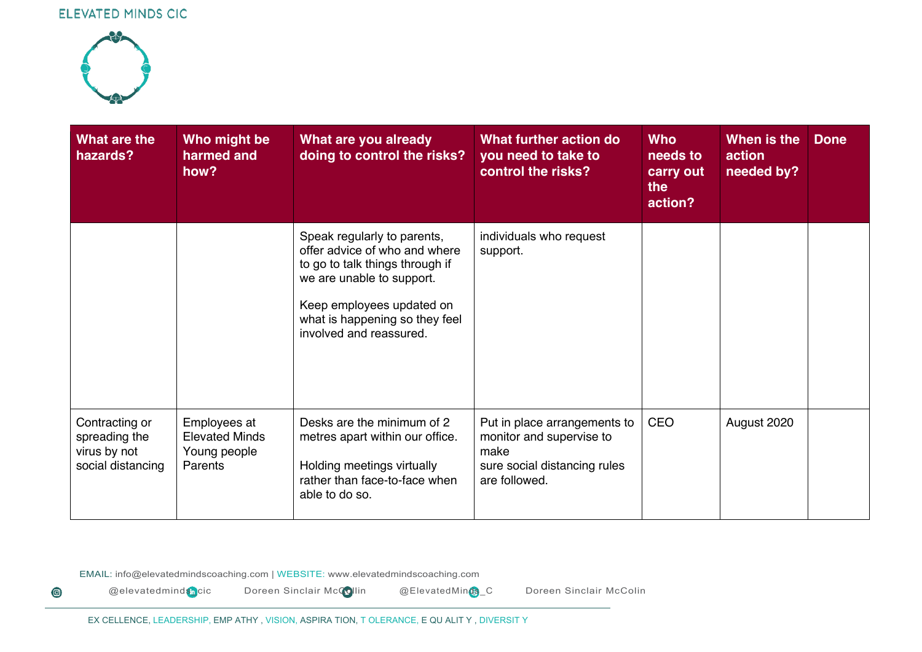

 $\bigcirc$ 

| What are the<br>hazards?                                             | Who might be<br>harmed and<br>how?                               | What are you already<br>doing to control the risks?                                                                                                                                                                    | What further action do<br>you need to take to<br>control the risks?                                               | <b>Who</b><br>needs to<br>carry out<br>the<br>action? | When is the<br>action<br>needed by? | <b>Done</b> |
|----------------------------------------------------------------------|------------------------------------------------------------------|------------------------------------------------------------------------------------------------------------------------------------------------------------------------------------------------------------------------|-------------------------------------------------------------------------------------------------------------------|-------------------------------------------------------|-------------------------------------|-------------|
|                                                                      |                                                                  | Speak regularly to parents,<br>offer advice of who and where<br>to go to talk things through if<br>we are unable to support.<br>Keep employees updated on<br>what is happening so they feel<br>involved and reassured. | individuals who request<br>support.                                                                               |                                                       |                                     |             |
| Contracting or<br>spreading the<br>virus by not<br>social distancing | Employees at<br><b>Elevated Minds</b><br>Young people<br>Parents | Desks are the minimum of 2<br>metres apart within our office.<br>Holding meetings virtually<br>rather than face-to-face when<br>able to do so.                                                                         | Put in place arrangements to<br>monitor and supervise to<br>make<br>sure social distancing rules<br>are followed. | <b>CEO</b>                                            | August 2020                         |             |

EMAIL: info@elevatedmindscoaching.com | WEBSITE: www.elevatedmindscoaching.com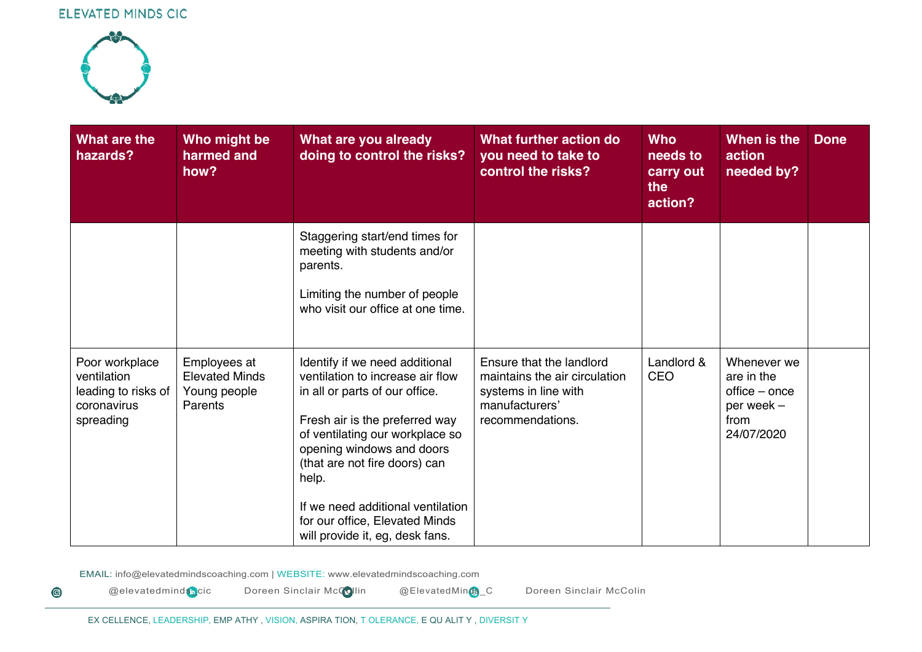

 $\bigcirc$ 

| What are the<br>hazards?                                                         | Who might be<br>harmed and<br>how?                                      | What are you already<br>doing to control the risks?                                                                                                                                                                                                                                                                                                        | What further action do<br>you need to take to<br>control the risks?                                                     | <b>Who</b><br>needs to<br>carry out<br>the<br>action? | When is the<br>action<br>needed by?                                            | <b>Done</b> |
|----------------------------------------------------------------------------------|-------------------------------------------------------------------------|------------------------------------------------------------------------------------------------------------------------------------------------------------------------------------------------------------------------------------------------------------------------------------------------------------------------------------------------------------|-------------------------------------------------------------------------------------------------------------------------|-------------------------------------------------------|--------------------------------------------------------------------------------|-------------|
|                                                                                  |                                                                         | Staggering start/end times for<br>meeting with students and/or<br>parents.<br>Limiting the number of people<br>who visit our office at one time.                                                                                                                                                                                                           |                                                                                                                         |                                                       |                                                                                |             |
| Poor workplace<br>ventilation<br>leading to risks of<br>coronavirus<br>spreading | Employees at<br><b>Elevated Minds</b><br>Young people<br><b>Parents</b> | Identify if we need additional<br>ventilation to increase air flow<br>in all or parts of our office.<br>Fresh air is the preferred way<br>of ventilating our workplace so<br>opening windows and doors<br>(that are not fire doors) can<br>help.<br>If we need additional ventilation<br>for our office, Elevated Minds<br>will provide it, eg, desk fans. | Ensure that the landlord<br>maintains the air circulation<br>systems in line with<br>manufacturers'<br>recommendations. | Landlord &<br>CEO                                     | Whenever we<br>are in the<br>office - once<br>per week -<br>from<br>24/07/2020 |             |

EMAIL: info@elevatedmindscoaching.com | WEBSITE: www.elevatedmindscoaching.com

@elevatedminds<sub>D</sub>cic Doreen Sinclair McCollin @ElevatedMinds\_C Doreen Sinclair McColin